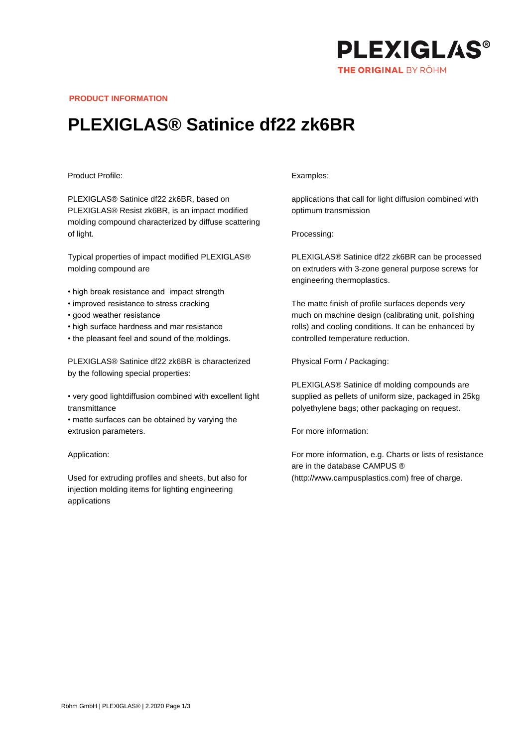

**PRODUCT INFORMATION**

## **PLEXIGLAS® Satinice df22 zk6BR**

## Product Profile:

PLEXIGLAS® Satinice df22 zk6BR, based on PLEXIGLAS® Resist zk6BR, is an impact modified molding compound characterized by diffuse scattering of light.

Typical properties of impact modified PLEXIGLAS® molding compound are

- high break resistance and impact strength
- improved resistance to stress cracking
- good weather resistance
- high surface hardness and mar resistance
- the pleasant feel and sound of the moldings.

PLEXIGLAS® Satinice df22 zk6BR is characterized by the following special properties:

• very good lightdiffusion combined with excellent light transmittance

• matte surfaces can be obtained by varying the extrusion parameters.

Application:

Used for extruding profiles and sheets, but also for injection molding items for lighting engineering applications

## Examples:

applications that call for light diffusion combined with optimum transmission

Processing:

PLEXIGLAS® Satinice df22 zk6BR can be processed on extruders with 3-zone general purpose screws for engineering thermoplastics.

The matte finish of profile surfaces depends very much on machine design (calibrating unit, polishing rolls) and cooling conditions. It can be enhanced by controlled temperature reduction.

Physical Form / Packaging:

PLEXIGLAS® Satinice df molding compounds are supplied as pellets of uniform size, packaged in 25kg polyethylene bags; other packaging on request.

For more information:

For more information, e.g. Charts or lists of resistance are in the database CAMPUS ® (http://www.campusplastics.com) free of charge.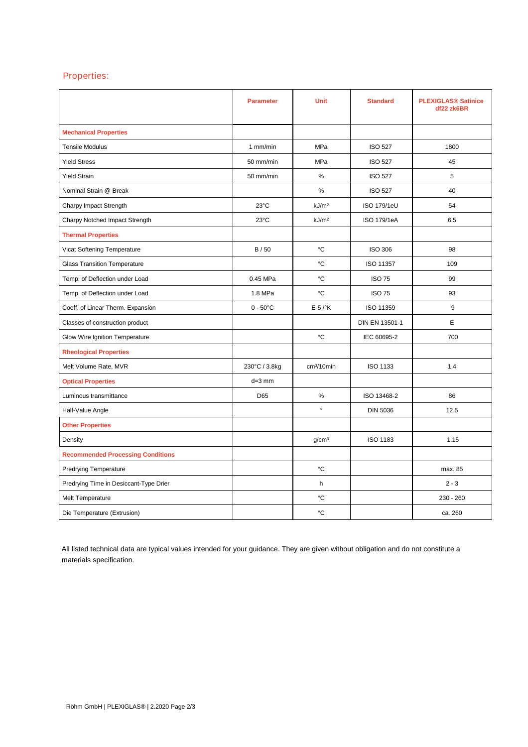## Properties:

|                                          | <b>Parameter</b>   | <b>Unit</b>            | <b>Standard</b>    | <b>PLEXIGLAS® Satinice</b><br>df22 zk6BR |
|------------------------------------------|--------------------|------------------------|--------------------|------------------------------------------|
| <b>Mechanical Properties</b>             |                    |                        |                    |                                          |
| <b>Tensile Modulus</b>                   | 1 mm/min           | MPa                    | <b>ISO 527</b>     | 1800                                     |
| <b>Yield Stress</b>                      | 50 mm/min          | <b>MPa</b>             | <b>ISO 527</b>     | 45                                       |
| <b>Yield Strain</b>                      | 50 mm/min          | %                      | <b>ISO 527</b>     | 5                                        |
| Nominal Strain @ Break                   |                    | $\%$                   | <b>ISO 527</b>     | 40                                       |
| Charpy Impact Strength                   | $23^{\circ}$ C     | kJ/m <sup>2</sup>      | <b>ISO 179/1eU</b> | 54                                       |
| Charpy Notched Impact Strength           | 23°C               | kJ/m <sup>2</sup>      | ISO 179/1eA        | 6.5                                      |
| <b>Thermal Properties</b>                |                    |                        |                    |                                          |
| Vicat Softening Temperature              | B/50               | °C                     | <b>ISO 306</b>     | 98                                       |
| <b>Glass Transition Temperature</b>      |                    | °C                     | ISO 11357          | 109                                      |
| Temp. of Deflection under Load           | 0.45 MPa           | °C                     | <b>ISO 75</b>      | 99                                       |
| Temp. of Deflection under Load           | 1.8 MPa            | °C                     | <b>ISO 75</b>      | 93                                       |
| Coeff. of Linear Therm. Expansion        | $0 - 50^{\circ}$ C | $E-5$ / $\mathrm{K}$   | ISO 11359          | 9                                        |
| Classes of construction product          |                    |                        | DIN EN 13501-1     | E.                                       |
| Glow Wire Ignition Temperature           |                    | °C                     | IEC 60695-2        | 700                                      |
| <b>Rheological Properties</b>            |                    |                        |                    |                                          |
| Melt Volume Rate, MVR                    | 230°C / 3.8kg      | cm <sup>3</sup> /10min | ISO 1133           | 1.4                                      |
| <b>Optical Properties</b>                | $d=3$ mm           |                        |                    |                                          |
| Luminous transmittance                   | D65                | %                      | ISO 13468-2        | 86                                       |
| Half-Value Angle                         |                    | $\circ$                | <b>DIN 5036</b>    | 12.5                                     |
| <b>Other Properties</b>                  |                    |                        |                    |                                          |
| Density                                  |                    | q/cm <sup>3</sup>      | <b>ISO 1183</b>    | 1.15                                     |
| <b>Recommended Processing Conditions</b> |                    |                        |                    |                                          |
| <b>Predrying Temperature</b>             |                    | °C                     |                    | max. 85                                  |
| Predrying Time in Desiccant-Type Drier   |                    | h                      |                    | $2 - 3$                                  |
| Melt Temperature                         |                    | °C                     |                    | $230 - 260$                              |
| Die Temperature (Extrusion)              |                    | °C                     |                    | ca. 260                                  |

All listed technical data are typical values intended for your guidance. They are given without obligation and do not constitute a materials specification.